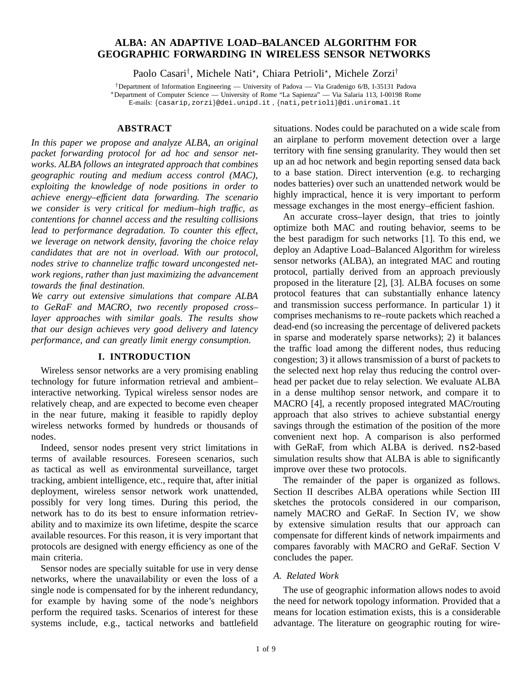## **ALBA: AN ADAPTIVE LOAD–BALANCED ALGORITHM FOR GEOGRAPHIC FORWARDING IN WIRELESS SENSOR NETWORKS**

Paolo Casari<sup>†</sup>, Michele Nati\*, Chiara Petrioli\*, Michele Zorzi<sup>†</sup>

†Department of Information Engineering — University of Padova — Via Gradenigo 6/B, I-35131 Padova ?Department of Computer Science — University of Rome "La Sapienza" — Via Salaria 113, I-00198 Rome E-mails: {casarip,zorzi}@dei.unipd.it , {nati,petrioli}@di.uniroma1.it

#### **ABSTRACT**

*In this paper we propose and analyze ALBA, an original packet forwarding protocol for ad hoc and sensor networks. ALBA follows an integrated approach that combines geographic routing and medium access control (MAC), exploiting the knowledge of node positions in order to achieve energy–efficient data forwarding. The scenario we consider is very critical for medium–high traffic, as contentions for channel access and the resulting collisions lead to performance degradation. To counter this effect, we leverage on network density, favoring the choice relay candidates that are not in overload. With our protocol, nodes strive to channelize traffic toward uncongested network regions, rather than just maximizing the advancement towards the final destination.*

*We carry out extensive simulations that compare ALBA to GeRaF and MACRO, two recently proposed cross– layer approaches with similar goals. The results show that our design achieves very good delivery and latency performance, and can greatly limit energy consumption.*

## **I. INTRODUCTION**

Wireless sensor networks are a very promising enabling technology for future information retrieval and ambient– interactive networking. Typical wireless sensor nodes are relatively cheap, and are expected to become even cheaper in the near future, making it feasible to rapidly deploy wireless networks formed by hundreds or thousands of nodes.

Indeed, sensor nodes present very strict limitations in terms of available resources. Foreseen scenarios, such as tactical as well as environmental surveillance, target tracking, ambient intelligence, etc., require that, after initial deployment, wireless sensor network work unattended, possibly for very long times. During this period, the network has to do its best to ensure information retrievability and to maximize its own lifetime, despite the scarce available resources. For this reason, it is very important that protocols are designed with energy efficiency as one of the main criteria.

Sensor nodes are specially suitable for use in very dense networks, where the unavailability or even the loss of a single node is compensated for by the inherent redundancy, for example by having some of the node's neighbors perform the required tasks. Scenarios of interest for these systems include, e.g., tactical networks and battlefield

situations. Nodes could be parachuted on a wide scale from an airplane to perform movement detection over a large territory with fine sensing granularity. They would then set up an ad hoc network and begin reporting sensed data back to a base station. Direct intervention (e.g. to recharging nodes batteries) over such an unattended network would be highly impractical, hence it is very important to perform message exchanges in the most energy–efficient fashion.

An accurate cross–layer design, that tries to jointly optimize both MAC and routing behavior, seems to be the best paradigm for such networks [1]. To this end, we deploy an Adaptive Load–Balanced Algorithm for wireless sensor networks (ALBA), an integrated MAC and routing protocol, partially derived from an approach previously proposed in the literature [2], [3]. ALBA focuses on some protocol features that can substantially enhance latency and transmission success performance. In particular 1) it comprises mechanisms to re–route packets which reached a dead-end (so increasing the percentage of delivered packets in sparse and moderately sparse networks); 2) it balances the traffic load among the different nodes, thus reducing congestion; 3) it allows transmission of a burst of packets to the selected next hop relay thus reducing the control overhead per packet due to relay selection. We evaluate ALBA in a dense multihop sensor network, and compare it to MACRO [4], a recently proposed integrated MAC/routing approach that also strives to achieve substantial energy savings through the estimation of the position of the more convenient next hop. A comparison is also performed with GeRaF, from which ALBA is derived. ns2-based simulation results show that ALBA is able to significantly improve over these two protocols.

The remainder of the paper is organized as follows. Section II describes ALBA operations while Section III sketches the protocols considered in our comparison, namely MACRO and GeRaF. In Section IV, we show by extensive simulation results that our approach can compensate for different kinds of network impairments and compares favorably with MACRO and GeRaF. Section V concludes the paper.

#### *A. Related Work*

The use of geographic information allows nodes to avoid the need for network topology information. Provided that a means for location estimation exists, this is a considerable advantage. The literature on geographic routing for wire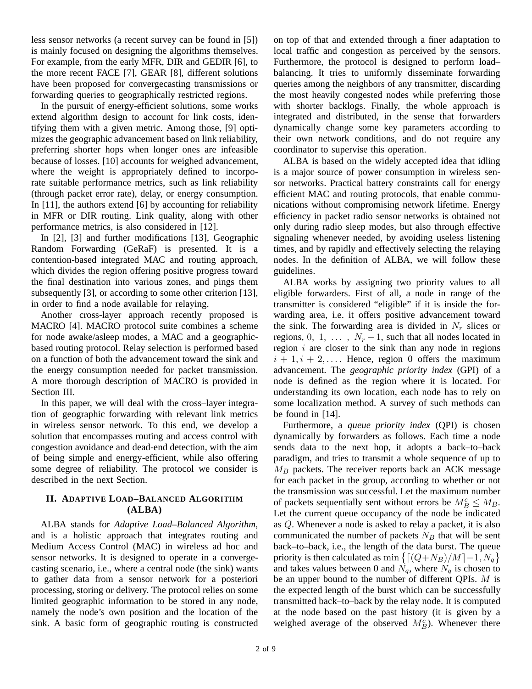less sensor networks (a recent survey can be found in [5]) is mainly focused on designing the algorithms themselves. For example, from the early MFR, DIR and GEDIR [6], to the more recent FACE [7], GEAR [8], different solutions have been proposed for convergecasting transmissions or forwarding queries to geographically restricted regions.

In the pursuit of energy-efficient solutions, some works extend algorithm design to account for link costs, identifying them with a given metric. Among those, [9] optimizes the geographic advancement based on link reliability, preferring shorter hops when longer ones are infeasible because of losses. [10] accounts for weighed advancement, where the weight is appropriately defined to incorporate suitable performance metrics, such as link reliability (through packet error rate), delay, or energy consumption. In [11], the authors extend [6] by accounting for reliability in MFR or DIR routing. Link quality, along with other performance metrics, is also considered in [12].

In [2], [3] and further modifications [13], Geographic Random Forwarding (GeRaF) is presented. It is a contention-based integrated MAC and routing approach, which divides the region offering positive progress toward the final destination into various zones, and pings them subsequently [3], or according to some other criterion [13], in order to find a node available for relaying.

Another cross-layer approach recently proposed is MACRO [4]. MACRO protocol suite combines a scheme for node awake/asleep modes, a MAC and a geographicbased routing protocol. Relay selection is performed based on a function of both the advancement toward the sink and the energy consumption needed for packet transmission. A more thorough description of MACRO is provided in Section III.

In this paper, we will deal with the cross–layer integration of geographic forwarding with relevant link metrics in wireless sensor network. To this end, we develop a solution that encompasses routing and access control with congestion avoidance and dead-end detection, with the aim of being simple and energy-efficient, while also offering some degree of reliability. The protocol we consider is described in the next Section.

## **II. ADAPTIVE LOAD–BALANCED ALGORITHM (ALBA)**

ALBA stands for *Adaptive Load–Balanced Algorithm*, and is a holistic approach that integrates routing and Medium Access Control (MAC) in wireless ad hoc and sensor networks. It is designed to operate in a convergecasting scenario, i.e., where a central node (the sink) wants to gather data from a sensor network for a posteriori processing, storing or delivery. The protocol relies on some limited geographic information to be stored in any node, namely the node's own position and the location of the sink. A basic form of geographic routing is constructed on top of that and extended through a finer adaptation to local traffic and congestion as perceived by the sensors. Furthermore, the protocol is designed to perform load– balancing. It tries to uniformly disseminate forwarding queries among the neighbors of any transmitter, discarding the most heavily congested nodes while preferring those with shorter backlogs. Finally, the whole approach is integrated and distributed, in the sense that forwarders dynamically change some key parameters according to their own network conditions, and do not require any coordinator to supervise this operation.

ALBA is based on the widely accepted idea that idling is a major source of power consumption in wireless sensor networks. Practical battery constraints call for energy efficient MAC and routing protocols, that enable communications without compromising network lifetime. Energy efficiency in packet radio sensor networks is obtained not only during radio sleep modes, but also through effective signaling whenever needed, by avoiding useless listening times, and by rapidly and effectively selecting the relaying nodes. In the definition of ALBA, we will follow these guidelines.

ALBA works by assigning two priority values to all eligible forwarders. First of all, a node in range of the transmitter is considered "eligible" if it is inside the forwarding area, i.e. it offers positive advancement toward the sink. The forwarding area is divided in  $N_r$  slices or regions,  $0, 1, \ldots, N_r - 1$ , such that all nodes located in region  $i$  are closer to the sink than any node in regions  $i + 1, i + 2, \ldots$  Hence, region 0 offers the maximum advancement. The *geographic priority index* (GPI) of a node is defined as the region where it is located. For understanding its own location, each node has to rely on some localization method. A survey of such methods can be found in [14].

Furthermore, a *queue priority index* (QPI) is chosen dynamically by forwarders as follows. Each time a node sends data to the next hop, it adopts a back–to–back paradigm, and tries to transmit a whole sequence of up to  $M_B$  packets. The receiver reports back an ACK message for each packet in the group, according to whether or not the transmission was successful. Let the maximum number of packets sequentially sent without errors be  $M_B^c \le M_B$ . Let the current queue occupancy of the node be indicated as Q. Whenever a node is asked to relay a packet, it is also communicated the number of packets  $N_B$  that will be sent back–to–back, i.e., the length of the data burst. The queue priority is then calculated as  $\min\left\{\lceil (Q+N_B)/M\rceil -1, N_q\right\}$ and takes values between 0 and  $N_q$ , where  $N_q$  is chosen to be an upper bound to the number of different QPIs. M is the expected length of the burst which can be successfully transmitted back–to–back by the relay node. It is computed at the node based on the past history (it is given by a weighed average of the observed  $M_B^c$ ). Whenever there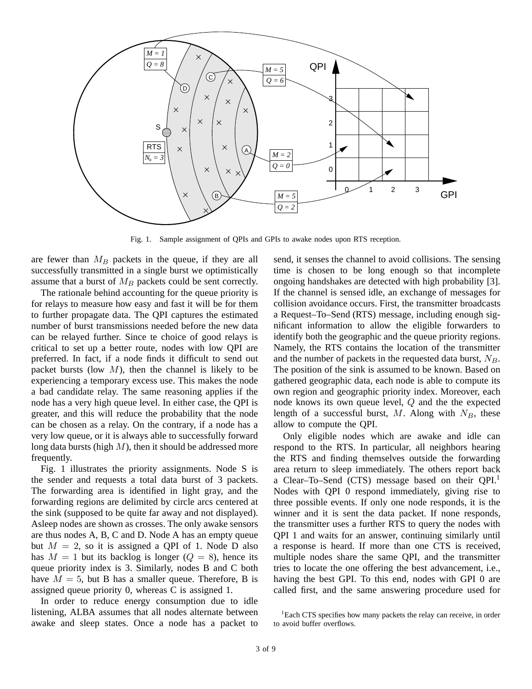

Fig. 1. Sample assignment of QPIs and GPIs to awake nodes upon RTS reception.

are fewer than  $M_B$  packets in the queue, if they are all successfully transmitted in a single burst we optimistically assume that a burst of  $M_B$  packets could be sent correctly.

The rationale behind accounting for the queue priority is for relays to measure how easy and fast it will be for them to further propagate data. The QPI captures the estimated number of burst transmissions needed before the new data can be relayed further. Since te choice of good relays is critical to set up a better route, nodes with low QPI are preferred. In fact, if a node finds it difficult to send out packet bursts (low  $M$ ), then the channel is likely to be experiencing a temporary excess use. This makes the node a bad candidate relay. The same reasoning applies if the node has a very high queue level. In either case, the QPI is greater, and this will reduce the probability that the node can be chosen as a relay. On the contrary, if a node has a very low queue, or it is always able to successfully forward long data bursts (high  $M$ ), then it should be addressed more frequently.

Fig. 1 illustrates the priority assignments. Node S is the sender and requests a total data burst of 3 packets. The forwarding area is identified in light gray, and the forwarding regions are delimited by circle arcs centered at the sink (supposed to be quite far away and not displayed). Asleep nodes are shown as crosses. The only awake sensors are thus nodes A, B, C and D. Node A has an empty queue but  $M = 2$ , so it is assigned a QPI of 1. Node D also has  $M = 1$  but its backlog is longer  $(Q = 8)$ , hence its queue priority index is 3. Similarly, nodes B and C both have  $M = 5$ , but B has a smaller queue. Therefore, B is assigned queue priority 0, whereas C is assigned 1.

In order to reduce energy consumption due to idle listening, ALBA assumes that all nodes alternate between awake and sleep states. Once a node has a packet to send, it senses the channel to avoid collisions. The sensing time is chosen to be long enough so that incomplete ongoing handshakes are detected with high probability [3]. If the channel is sensed idle, an exchange of messages for collision avoidance occurs. First, the transmitter broadcasts a Request–To–Send (RTS) message, including enough significant information to allow the eligible forwarders to identify both the geographic and the queue priority regions. Namely, the RTS contains the location of the transmitter and the number of packets in the requested data burst,  $N_B$ . The position of the sink is assumed to be known. Based on gathered geographic data, each node is able to compute its own region and geographic priority index. Moreover, each node knows its own queue level, Q and the the expected length of a successful burst,  $M$ . Along with  $N_B$ , these allow to compute the QPI.

Only eligible nodes which are awake and idle can respond to the RTS. In particular, all neighbors hearing the RTS and finding themselves outside the forwarding area return to sleep immediately. The others report back a Clear–To–Send (CTS) message based on their QPI.<sup>1</sup> Nodes with QPI 0 respond immediately, giving rise to three possible events. If only one node responds, it is the winner and it is sent the data packet. If none responds, the transmitter uses a further RTS to query the nodes with QPI 1 and waits for an answer, continuing similarly until a response is heard. If more than one CTS is received, multiple nodes share the same QPI, and the transmitter tries to locate the one offering the best advancement, i.e., having the best GPI. To this end, nodes with GPI 0 are called first, and the same answering procedure used for

<sup>&</sup>lt;sup>1</sup>Each CTS specifies how many packets the relay can receive, in order to avoid buffer overflows.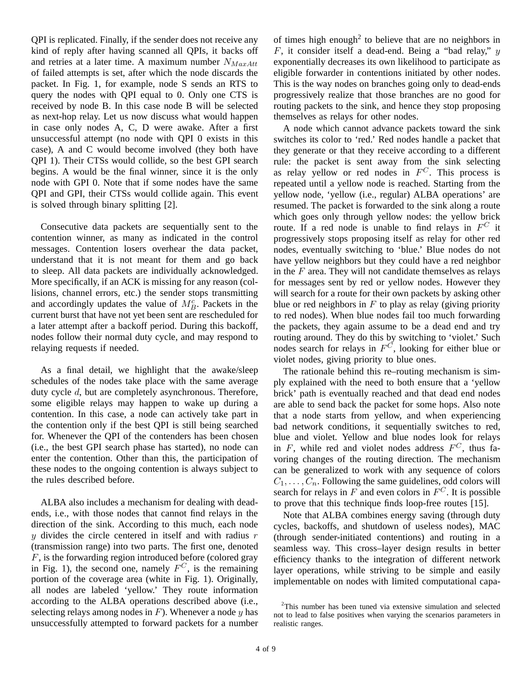QPI is replicated. Finally, if the sender does not receive any kind of reply after having scanned all QPIs, it backs off and retries at a later time. A maximum number  $N_{MaxAtt}$ of failed attempts is set, after which the node discards the packet. In Fig. 1, for example, node S sends an RTS to query the nodes with QPI equal to 0. Only one CTS is received by node B. In this case node B will be selected as next-hop relay. Let us now discuss what would happen in case only nodes A, C, D were awake. After a first unsuccessful attempt (no node with QPI 0 exists in this case), A and C would become involved (they both have QPI 1). Their CTSs would collide, so the best GPI search begins. A would be the final winner, since it is the only node with GPI 0. Note that if some nodes have the same QPI and GPI, their CTSs would collide again. This event is solved through binary splitting [2].

Consecutive data packets are sequentially sent to the contention winner, as many as indicated in the control messages. Contention losers overhear the data packet, understand that it is not meant for them and go back to sleep. All data packets are individually acknowledged. More specifically, if an ACK is missing for any reason (collisions, channel errors, etc.) the sender stops transmitting and accordingly updates the value of  $M_B^c$ . Packets in the current burst that have not yet been sent are rescheduled for a later attempt after a backoff period. During this backoff, nodes follow their normal duty cycle, and may respond to relaying requests if needed.

As a final detail, we highlight that the awake/sleep schedules of the nodes take place with the same average duty cycle d, but are completely asynchronous. Therefore, some eligible relays may happen to wake up during a contention. In this case, a node can actively take part in the contention only if the best QPI is still being searched for. Whenever the QPI of the contenders has been chosen (i.e., the best GPI search phase has started), no node can enter the contention. Other than this, the participation of these nodes to the ongoing contention is always subject to the rules described before.

ALBA also includes a mechanism for dealing with deadends, i.e., with those nodes that cannot find relays in the direction of the sink. According to this much, each node  $y$  divides the circle centered in itself and with radius  $r$ (transmission range) into two parts. The first one, denoted F, is the forwarding region introduced before (colored gray in Fig. 1), the second one, namely  $F^C$ , is the remaining portion of the coverage area (white in Fig. 1). Originally, all nodes are labeled 'yellow.' They route information according to the ALBA operations described above (i.e., selecting relays among nodes in  $F$ ). Whenever a node  $y$  has unsuccessfully attempted to forward packets for a number

of times high enough<sup>2</sup> to believe that are no neighbors in  $F$ , it consider itself a dead-end. Being a "bad relay," y exponentially decreases its own likelihood to participate as eligible forwarder in contentions initiated by other nodes. This is the way nodes on branches going only to dead-ends progressively realize that those branches are no good for routing packets to the sink, and hence they stop proposing themselves as relays for other nodes.

A node which cannot advance packets toward the sink switches its color to 'red.' Red nodes handle a packet that they generate or that they receive according to a different rule: the packet is sent away from the sink selecting as relay yellow or red nodes in  $F^C$ . This process is repeated until a yellow node is reached. Starting from the yellow node, 'yellow (i.e., regular) ALBA operations' are resumed. The packet is forwarded to the sink along a route which goes only through yellow nodes: the yellow brick route. If a red node is unable to find relays in  $F<sup>C</sup>$  it progressively stops proposing itself as relay for other red nodes, eventually switching to 'blue.' Blue nodes do not have yellow neighbors but they could have a red neighbor in the  $F$  area. They will not candidate themselves as relays for messages sent by red or yellow nodes. However they will search for a route for their own packets by asking other blue or red neighbors in  $F$  to play as relay (giving priority to red nodes). When blue nodes fail too much forwarding the packets, they again assume to be a dead end and try routing around. They do this by switching to 'violet.' Such nodes search for relays in  $F^C$ , looking for either blue or violet nodes, giving priority to blue ones.

The rationale behind this re–routing mechanism is simply explained with the need to both ensure that a 'yellow brick' path is eventually reached and that dead end nodes are able to send back the packet for some hops. Also note that a node starts from yellow, and when experiencing bad network conditions, it sequentially switches to red, blue and violet. Yellow and blue nodes look for relays in  $F$ , while red and violet nodes address  $F^C$ , thus favoring changes of the routing direction. The mechanism can be generalized to work with any sequence of colors  $C_1, \ldots, C_n$ . Following the same guidelines, odd colors will search for relays in F and even colors in  $F^C$ . It is possible to prove that this technique finds loop-free routes [15].

Note that ALBA combines energy saving (through duty cycles, backoffs, and shutdown of useless nodes), MAC (through sender-initiated contentions) and routing in a seamless way. This cross–layer design results in better efficiency thanks to the integration of different network layer operations, while striving to be simple and easily implementable on nodes with limited computational capa-

<sup>&</sup>lt;sup>2</sup>This number has been tuned via extensive simulation and selected not to lead to false positives when varying the scenarios parameters in realistic ranges.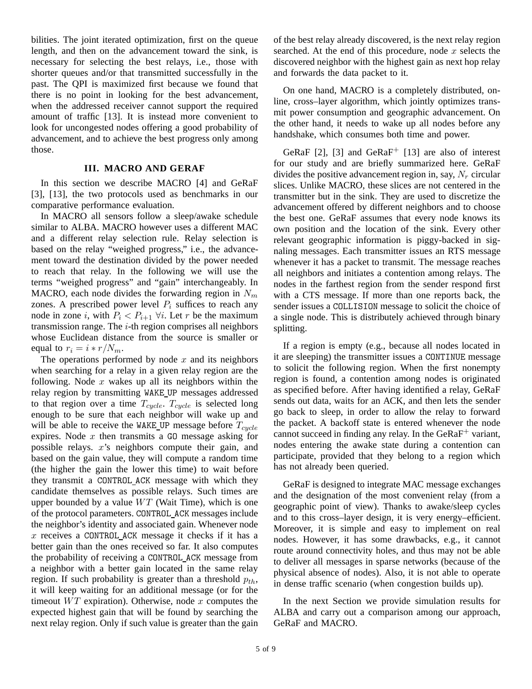bilities. The joint iterated optimization, first on the queue length, and then on the advancement toward the sink, is necessary for selecting the best relays, i.e., those with shorter queues and/or that transmitted successfully in the past. The QPI is maximized first because we found that there is no point in looking for the best advancement, when the addressed receiver cannot support the required amount of traffic [13]. It is instead more convenient to look for uncongested nodes offering a good probability of advancement, and to achieve the best progress only among those.

### **III. MACRO AND GERAF**

In this section we describe MACRO [4] and GeRaF [3], [13], the two protocols used as benchmarks in our comparative performance evaluation.

In MACRO all sensors follow a sleep/awake schedule similar to ALBA. MACRO however uses a different MAC and a different relay selection rule. Relay selection is based on the relay "weighed progress," i.e., the advancement toward the destination divided by the power needed to reach that relay. In the following we will use the terms "weighed progress" and "gain" interchangeably. In MACRO, each node divides the forwarding region in  $N_m$ zones. A prescribed power level  $P_i$  suffices to reach any node in zone i, with  $P_i \leq P_{i+1}$   $\forall i$ . Let r be the maximum transmission range. The  $i$ -th region comprises all neighbors whose Euclidean distance from the source is smaller or equal to  $r_i = i * r/N_m$ .

The operations performed by node  $x$  and its neighbors when searching for a relay in a given relay region are the following. Node  $x$  wakes up all its neighbors within the relay region by transmitting WAKE UP messages addressed to that region over a time  $T_{cycle}$ .  $T_{cycle}$  is selected long enough to be sure that each neighbor will wake up and will be able to receive the WAKE UP message before  $T_{cycle}$ expires. Node  $x$  then transmits a GO message asking for possible relays. x's neighbors compute their gain, and based on the gain value, they will compute a random time (the higher the gain the lower this time) to wait before they transmit a CONTROL ACK message with which they candidate themselves as possible relays. Such times are upper bounded by a value  $WT$  (Wait Time), which is one of the protocol parameters. CONTROL ACK messages include the neighbor's identity and associated gain. Whenever node  $x$  receives a CONTROL ACK message it checks if it has a better gain than the ones received so far. It also computes the probability of receiving a CONTROL ACK message from a neighbor with a better gain located in the same relay region. If such probability is greater than a threshold  $p_{th}$ , it will keep waiting for an additional message (or for the timeout  $WT$  expiration). Otherwise, node x computes the expected highest gain that will be found by searching the next relay region. Only if such value is greater than the gain of the best relay already discovered, is the next relay region searched. At the end of this procedure, node  $x$  selects the discovered neighbor with the highest gain as next hop relay and forwards the data packet to it.

On one hand, MACRO is a completely distributed, online, cross–layer algorithm, which jointly optimizes transmit power consumption and geographic advancement. On the other hand, it needs to wake up all nodes before any handshake, which consumes both time and power.

GeRaF  $[2]$ ,  $[3]$  and GeRaF<sup>+</sup>  $[13]$  are also of interest for our study and are briefly summarized here. GeRaF divides the positive advancement region in, say,  $N_r$  circular slices. Unlike MACRO, these slices are not centered in the transmitter but in the sink. They are used to discretize the advancement offered by different neighbors and to choose the best one. GeRaF assumes that every node knows its own position and the location of the sink. Every other relevant geographic information is piggy-backed in signaling messages. Each transmitter issues an RTS message whenever it has a packet to transmit. The message reaches all neighbors and initiates a contention among relays. The nodes in the farthest region from the sender respond first with a CTS message. If more than one reports back, the sender issues a COLLISION message to solicit the choice of a single node. This is distributely achieved through binary splitting.

If a region is empty (e.g., because all nodes located in it are sleeping) the transmitter issues a CONTINUE message to solicit the following region. When the first nonempty region is found, a contention among nodes is originated as specified before. After having identified a relay, GeRaF sends out data, waits for an ACK, and then lets the sender go back to sleep, in order to allow the relay to forward the packet. A backoff state is entered whenever the node cannot succeed in finding any relay. In the GeRaF<sup>+</sup> variant, nodes entering the awake state during a contention can participate, provided that they belong to a region which has not already been queried.

GeRaF is designed to integrate MAC message exchanges and the designation of the most convenient relay (from a geographic point of view). Thanks to awake/sleep cycles and to this cross–layer design, it is very energy–efficient. Moreover, it is simple and easy to implement on real nodes. However, it has some drawbacks, e.g., it cannot route around connectivity holes, and thus may not be able to deliver all messages in sparse networks (because of the physical absence of nodes). Also, it is not able to operate in dense traffic scenario (when congestion builds up).

In the next Section we provide simulation results for ALBA and carry out a comparison among our approach, GeRaF and MACRO.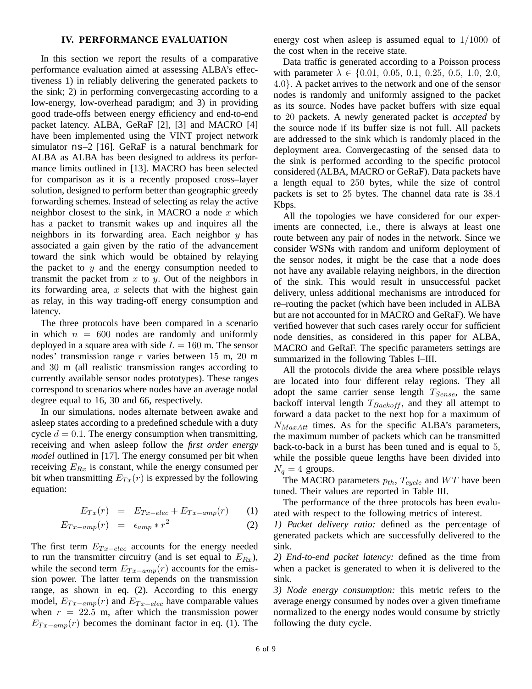#### **IV. PERFORMANCE EVALUATION**

In this section we report the results of a comparative performance evaluation aimed at assessing ALBA's effectiveness 1) in reliably delivering the generated packets to the sink; 2) in performing convergecasting according to a low-energy, low-overhead paradigm; and 3) in providing good trade-offs between energy efficiency and end-to-end packet latency. ALBA, GeRaF [2], [3] and MACRO [4] have been implemented using the VINT project network simulator ns–2 [16]. GeRaF is a natural benchmark for ALBA as ALBA has been designed to address its performance limits outlined in [13]. MACRO has been selected for comparison as it is a recently proposed cross–layer solution, designed to perform better than geographic greedy forwarding schemes. Instead of selecting as relay the active neighbor closest to the sink, in MACRO a node  $x$  which has a packet to transmit wakes up and inquires all the neighbors in its forwarding area. Each neighbor  $y$  has associated a gain given by the ratio of the advancement toward the sink which would be obtained by relaying the packet to  $y$  and the energy consumption needed to transmit the packet from  $x$  to  $y$ . Out of the neighbors in its forwarding area,  $x$  selects that with the highest gain as relay, in this way trading-off energy consumption and latency.

The three protocols have been compared in a scenario in which  $n = 600$  nodes are randomly and uniformly deployed in a square area with side  $L = 160$  m. The sensor nodes' transmission range  $r$  varies between 15 m, 20 m and 30 m (all realistic transmission ranges according to currently available sensor nodes prototypes). These ranges correspond to scenarios where nodes have an average nodal degree equal to 16, 30 and 66, respectively.

In our simulations, nodes alternate between awake and asleep states according to a predefined schedule with a duty cycle  $d = 0.1$ . The energy consumption when transmitting, receiving and when asleep follow the *first order energy model* outlined in [17]. The energy consumed per bit when receiving  $E_{Rx}$  is constant, while the energy consumed per bit when transmitting  $E_{Tx}(r)$  is expressed by the following equation:

$$
E_{Tx}(r) = E_{Tx-elec} + E_{Tx-amp}(r) \qquad (1)
$$

$$
E_{Tx-amp}(r) = \epsilon_{amp} * r^2 \tag{2}
$$

The first term  $E_{Tx-elec}$  accounts for the energy needed to run the transmitter circuitry (and is set equal to  $E_{Rx}$ ), while the second term  $E_{Tx-amp}(r)$  accounts for the emission power. The latter term depends on the transmission range, as shown in eq. (2). According to this energy model,  $E_{Tx-amp}(r)$  and  $E_{Tx-elec}$  have comparable values when  $r = 22.5$  m, after which the transmission power  $E_{Tx-amp}(r)$  becomes the dominant factor in eq. (1). The energy cost when asleep is assumed equal to 1/1000 of the cost when in the receive state.

Data traffic is generated according to a Poisson process with parameter  $\lambda \in \{0.01, 0.05, 0.1, 0.25, 0.5, 1.0, 2.0,$ 4.0}. A packet arrives to the network and one of the sensor nodes is randomly and uniformly assigned to the packet as its source. Nodes have packet buffers with size equal to 20 packets. A newly generated packet is *accepted* by the source node if its buffer size is not full. All packets are addressed to the sink which is randomly placed in the deployment area. Convergecasting of the sensed data to the sink is performed according to the specific protocol considered (ALBA, MACRO or GeRaF). Data packets have a length equal to 250 bytes, while the size of control packets is set to 25 bytes. The channel data rate is 38.4 Kbps.

All the topologies we have considered for our experiments are connected, i.e., there is always at least one route between any pair of nodes in the network. Since we consider WSNs with random and uniform deployment of the sensor nodes, it might be the case that a node does not have any available relaying neighbors, in the direction of the sink. This would result in unsuccessful packet delivery, unless additional mechanisms are introduced for re–routing the packet (which have been included in ALBA but are not accounted for in MACRO and GeRaF). We have verified however that such cases rarely occur for sufficient node densities, as considered in this paper for ALBA, MACRO and GeRaF. The specific parameters settings are summarized in the following Tables I–III.

All the protocols divide the area where possible relays are located into four different relay regions. They all adopt the same carrier sense length  $T_{Sense}$ , the same backoff interval length  $T_{Backoff}$ , and they all attempt to forward a data packet to the next hop for a maximum of  $N_{MaxAtt}$  times. As for the specific ALBA's parameters, the maximum number of packets which can be transmitted back-to-back in a burst has been tuned and is equal to 5, while the possible queue lengths have been divided into  $N_q = 4$  groups.

The MACRO parameters  $p_{th}$ ,  $T_{cycle}$  and  $WT$  have been tuned. Their values are reported in Table III.

The performance of the three protocols has been evaluated with respect to the following metrics of interest.

*1) Packet delivery ratio:* defined as the percentage of generated packets which are successfully delivered to the sink.

*2) End-to-end packet latency:* defined as the time from when a packet is generated to when it is delivered to the sink.

*3) Node energy consumption:* this metric refers to the average energy consumed by nodes over a given timeframe normalized to the energy nodes would consume by strictly following the duty cycle.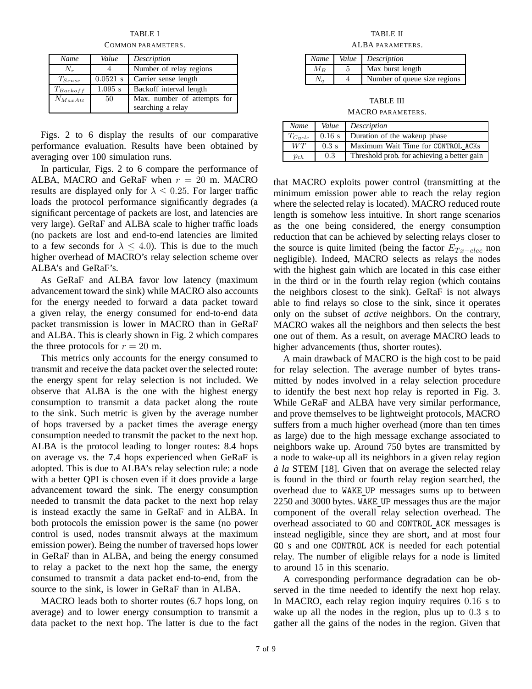TABLE I

COMMON PARAMETERS.

| Name          | Value      | Description                                      |
|---------------|------------|--------------------------------------------------|
| $N_r$         |            | Number of relay regions                          |
| $T_{Sense}$   | $0.0521$ s | Carrier sense length                             |
| $T_{Backoff}$ | $1.095$ s  | Backoff interval length                          |
| $N_{MaxAtt}$  | 50         | Max. number of attempts for<br>searching a relay |

Figs. 2 to 6 display the results of our comparative performance evaluation. Results have been obtained by averaging over 100 simulation runs.

In particular, Figs. 2 to 6 compare the performance of ALBA, MACRO and GeRaF when  $r = 20$  m. MACRO results are displayed only for  $\lambda \leq 0.25$ . For larger traffic loads the protocol performance significantly degrades (a significant percentage of packets are lost, and latencies are very large). GeRaF and ALBA scale to higher traffic loads (no packets are lost and end-to-end latencies are limited to a few seconds for  $\lambda \leq 4.0$ ). This is due to the much higher overhead of MACRO's relay selection scheme over ALBA's and GeRaF's.

As GeRaF and ALBA favor low latency (maximum advancement toward the sink) while MACRO also accounts for the energy needed to forward a data packet toward a given relay, the energy consumed for end-to-end data packet transmission is lower in MACRO than in GeRaF and ALBA. This is clearly shown in Fig. 2 which compares the three protocols for  $r = 20$  m.

This metrics only accounts for the energy consumed to transmit and receive the data packet over the selected route: the energy spent for relay selection is not included. We observe that ALBA is the one with the highest energy consumption to transmit a data packet along the route to the sink. Such metric is given by the average number of hops traversed by a packet times the average energy consumption needed to transmit the packet to the next hop. ALBA is the protocol leading to longer routes: 8.4 hops on average vs. the 7.4 hops experienced when GeRaF is adopted. This is due to ALBA's relay selection rule: a node with a better QPI is chosen even if it does provide a large advancement toward the sink. The energy consumption needed to transmit the data packet to the next hop relay is instead exactly the same in GeRaF and in ALBA. In both protocols the emission power is the same (no power control is used, nodes transmit always at the maximum emission power). Being the number of traversed hops lower in GeRaF than in ALBA, and being the energy consumed to relay a packet to the next hop the same, the energy consumed to transmit a data packet end-to-end, from the source to the sink, is lower in GeRaF than in ALBA.

MACRO leads both to shorter routes (6.7 hops long, on average) and to lower energy consumption to transmit a data packet to the next hop. The latter is due to the fact

ALBA PARAMETERS.

|         | Name Value Description       |
|---------|------------------------------|
| $M_{B}$ | Max burst length             |
|         | Number of queue size regions |

# TABLE III

MACRO PARAMETERS.

| Name        | Value            | Description                                 |
|-------------|------------------|---------------------------------------------|
| $T_{Cycle}$ | $0.16$ s         | Duration of the wakeup phase                |
| WT          | $0.3 \mathrm{s}$ | Maximum Wait Time for CONTROL_ACKs          |
| $p_{th}$    | 0.3              | Threshold prob. for achieving a better gain |

that MACRO exploits power control (transmitting at the minimum emission power able to reach the relay region where the selected relay is located). MACRO reduced route length is somehow less intuitive. In short range scenarios as the one being considered, the energy consumption reduction that can be achieved by selecting relays closer to the source is quite limited (being the factor  $E_{Tx-elec}$  non negligible). Indeed, MACRO selects as relays the nodes with the highest gain which are located in this case either in the third or in the fourth relay region (which contains the neighbors closest to the sink). GeRaF is not always able to find relays so close to the sink, since it operates only on the subset of *active* neighbors. On the contrary, MACRO wakes all the neighbors and then selects the best one out of them. As a result, on average MACRO leads to higher advancements (thus, shorter routes).

A main drawback of MACRO is the high cost to be paid for relay selection. The average number of bytes transmitted by nodes involved in a relay selection procedure to identify the best next hop relay is reported in Fig. 3. While GeRaF and ALBA have very similar performance, and prove themselves to be lightweight protocols, MACRO suffers from a much higher overhead (more than ten times as large) due to the high message exchange associated to neighbors wake up. Around 750 bytes are transmitted by a node to wake-up all its neighbors in a given relay region *à la* STEM [18]. Given that on average the selected relay is found in the third or fourth relay region searched, the overhead due to WAKE UP messages sums up to between 2250 and 3000 bytes. WAKE UP messages thus are the major component of the overall relay selection overhead. The overhead associated to GO and CONTROL ACK messages is instead negligible, since they are short, and at most four GO s and one CONTROL ACK is needed for each potential relay. The number of eligible relays for a node is limited to around 15 in this scenario.

A corresponding performance degradation can be observed in the time needed to identify the next hop relay. In MACRO, each relay region inquiry requires 0.16 s to wake up all the nodes in the region, plus up to 0.3 s to gather all the gains of the nodes in the region. Given that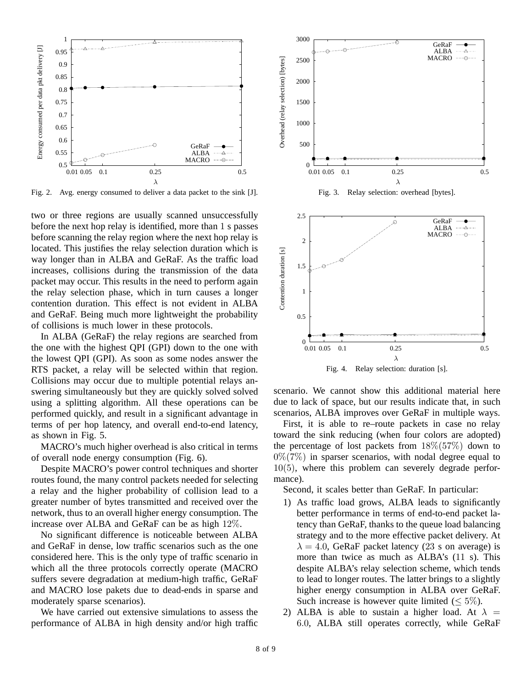

Fig. 2. Avg. energy consumed to deliver a data packet to the sink [J].

two or three regions are usually scanned unsuccessfully before the next hop relay is identified, more than 1 s passes before scanning the relay region where the next hop relay is located. This justifies the relay selection duration which is way longer than in ALBA and GeRaF. As the traffic load increases, collisions during the transmission of the data packet may occur. This results in the need to perform again the relay selection phase, which in turn causes a longer contention duration. This effect is not evident in ALBA and GeRaF. Being much more lightweight the probability of collisions is much lower in these protocols.

In ALBA (GeRaF) the relay regions are searched from the one with the highest QPI (GPI) down to the one with the lowest QPI (GPI). As soon as some nodes answer the RTS packet, a relay will be selected within that region. Collisions may occur due to multiple potential relays answering simultaneously but they are quickly solved solved using a splitting algorithm. All these operations can be performed quickly, and result in a significant advantage in terms of per hop latency, and overall end-to-end latency, as shown in Fig. 5.

MACRO's much higher overhead is also critical in terms of overall node energy consumption (Fig. 6).

Despite MACRO's power control techniques and shorter routes found, the many control packets needed for selecting a relay and the higher probability of collision lead to a greater number of bytes transmitted and received over the network, thus to an overall higher energy consumption. The increase over ALBA and GeRaF can be as high 12%.

No significant difference is noticeable between ALBA and GeRaF in dense, low traffic scenarios such as the one considered here. This is the only type of traffic scenario in which all the three protocols correctly operate (MACRO suffers severe degradation at medium-high traffic, GeRaF and MACRO lose pakets due to dead-ends in sparse and moderately sparse scenarios).

We have carried out extensive simulations to assess the performance of ALBA in high density and/or high traffic



Fig. 3. Relay selection: overhead [bytes].



Fig. 4. Relay selection: duration [s].

scenario. We cannot show this additional material here due to lack of space, but our results indicate that, in such scenarios, ALBA improves over GeRaF in multiple ways.

First, it is able to re–route packets in case no relay toward the sink reducing (when four colors are adopted) the percentage of lost packets from  $18\%(57\%)$  down to  $0\%$  (7%) in sparser scenarios, with nodal degree equal to  $10(5)$ , where this problem can severely degrade performance).

Second, it scales better than GeRaF. In particular:

- 1) As traffic load grows, ALBA leads to significantly better performance in terms of end-to-end packet latency than GeRaF, thanks to the queue load balancing strategy and to the more effective packet delivery. At  $\lambda = 4.0$ , GeRaF packet latency (23 s on average) is more than twice as much as ALBA's (11 s). This despite ALBA's relay selection scheme, which tends to lead to longer routes. The latter brings to a slightly higher energy consumption in ALBA over GeRaF. Such increase is however quite limited  $(< 5\%)$ .
- 2) ALBA is able to sustain a higher load. At  $\lambda =$ 6.0, ALBA still operates correctly, while GeRaF